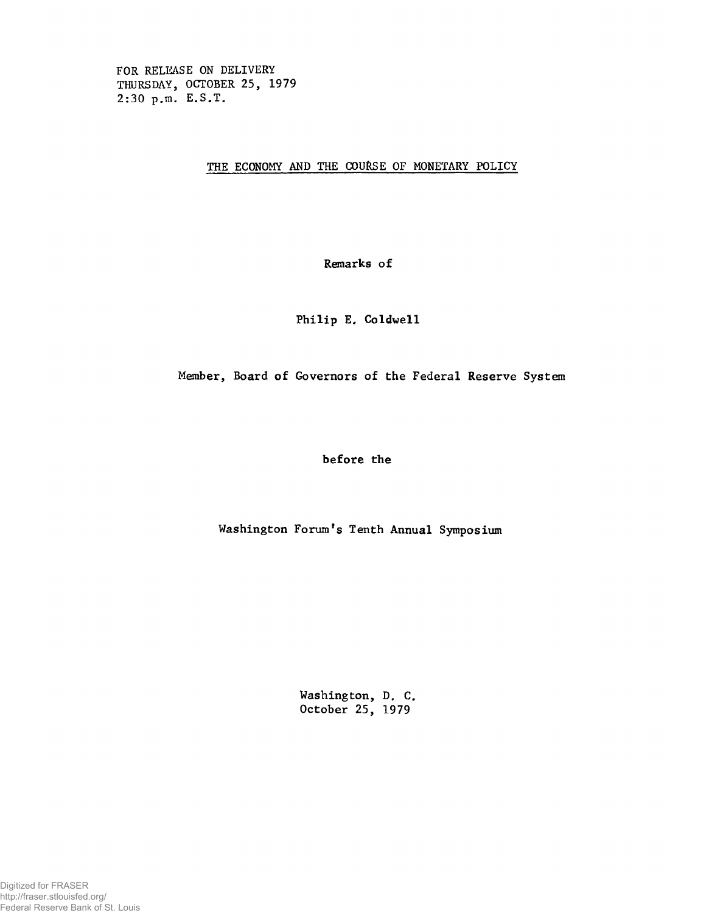FOR RELEASE ON DELIVERY THURSDAY, OCTOBER 25, 1979 2:30 p.m. E.S.T.

THE ECONOMY AND THE COURSE OF MONETARY POLICY

Remarks of

## Philip E. Coldwell

Member, Board of Governors of the Federal Reserve System

before the

Washington Forum's Tenth Annual Symposium

Washington, D, C. October 25, 1979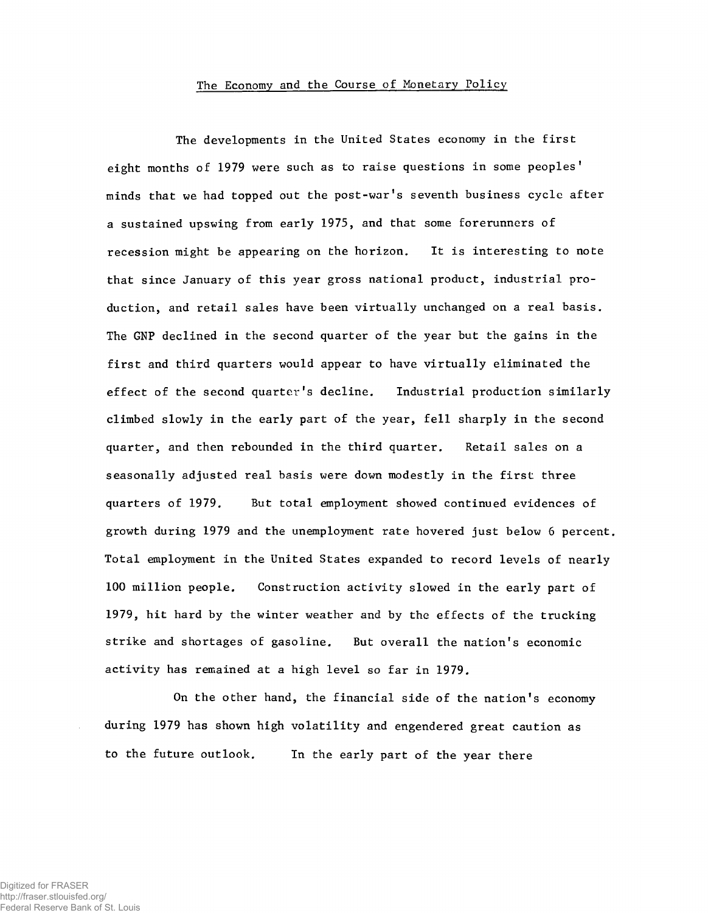## The Economy and the Course of Monetary Policy

The developments in the United States economy in the first eight months of 1979 were such as to raise questions in some peoples' minds that we had topped out the post-war's seventh business cycle after a sustained upswing from early 1975, and that some forerunners of recession might be appearing on the horizon. It is interesting to note that since January of this year gross national product, industrial production, and retail sales have been virtually unchanged on a real basis. The GNP declined in the second quarter of the year but the gains in the first and third quarters would appear to have virtually eliminated the effect of the second quarter's decline. Industrial production similarly climbed slowly in the early part of the year, fell sharply in the second quarter, and then rebounded in the third quarter. Retail sales on a seasonally adjusted real basis were down modestly in the first three quarters of 1979. But total employment showed continued evidences of growth during 1979 and the unemployment rate hovered just below 6 percent. Total employment in the United States expanded to record levels of nearly 100 million people. Construction activity slowed in the early part of 1979, hit hard by the winter weather and by the effects of the trucking strike and shortages of gasoline. But overall the nation's economic activity has remained at a high level so far in 1979.

On the other hand, the financial side of the nation's economy during 1979 has shown high volatility and engendered great caution as to the future outlook. In the early part of the year there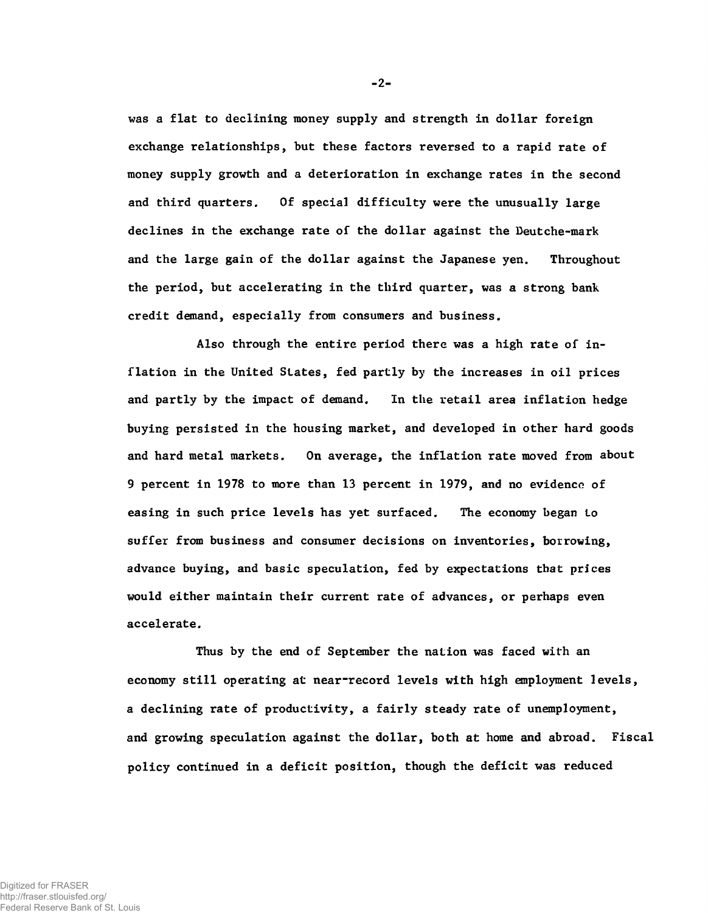was a flat to declining money supply and strength in dollar foreign exchange relationships, but these factors reversed to a rapid rate of money supply growth and a deterioration in exchange rates in the second and third quarters. Of special difficulty were the unusually large declines in the exchange rate of the dollar against the Deutche-mark and the large gain of the dollar against the Japanese yen. Throughout the period, but accelerating in the third quarter, was a strong bank credit demand, especially from consumers and business.

Also through the entire period there was a high rate of inflation in the United States, fed partly by the increases in oil prices and partly by the impact of demand. In the retail area inflation hedge buying persisted in the housing market, and developed in other hard goods and hard metal markets. On average, the inflation rate moved from about 9 percent in 1978 to more than 13 percent in 1979, and no evidence of easing in such price levels has yet surfaced. The economy began to suffer from business and consumer decisions on inventories, borrowing, advance buying, and basic speculation, fed by expectations that prices would either maintain their current rate of advances, or perhaps even accelerate.

Thus by the end of September the nation was faced with an economy still operating at near-record levels with high employment levels, a declining rate of productivity, a fairly steady rate of unemployment, and growing speculation against the dollar, both at home and abroad. Fiscal policy continued in a deficit position, though the deficit was reduced

-2-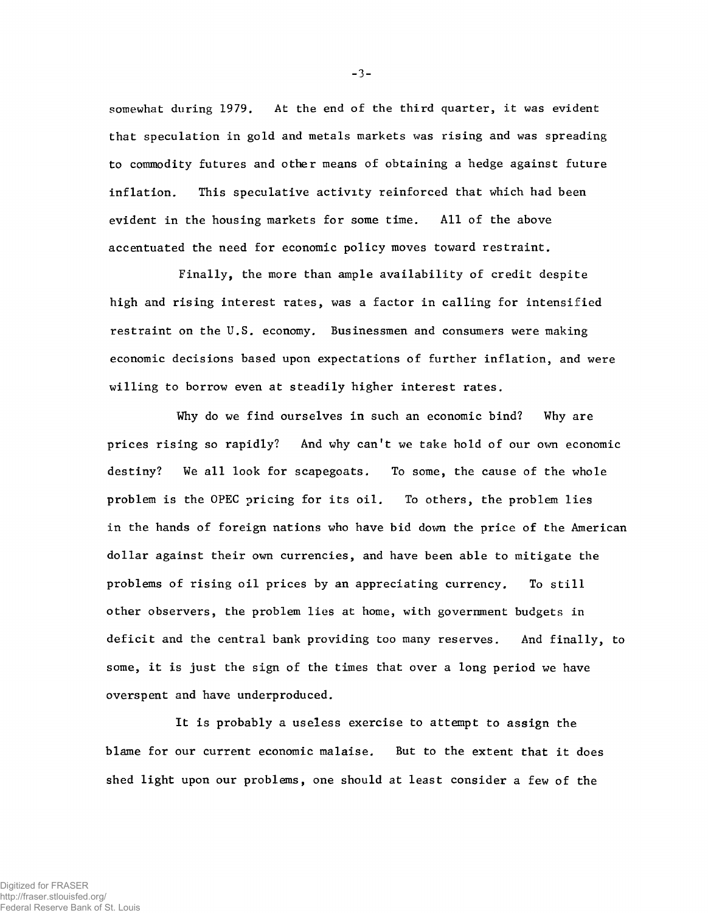somewhat during 1979. At the end of the third quarter, it was evident that speculation in gold and metals markets was rising and was spreading to commodity futures and other means of obtaining a hedge against future inflation. This speculative activity reinforced that which had been evident in the housing markets for some time. All of the above accentuated the need for economic policy moves toward restraint.

Finally, the more than ample availability of credit despite high and rising interest rates, was a factor in calling for intensified restraint on the U.S. economy. Businessmen and consumers were making economic decisions based upon expectations of further inflation, and were willing to borrow even at steadily higher interest rates.

Why do we find ourselves in such an economic bind? Why are prices rising so rapidly? And why can't we take hold of our own economic destiny? We all look for scapegoats. To some, the cause of the whole problem is the OPEC pricing for its oil. To others, the problem lies in the hands of foreign nations who have bid down the price of the American dollar against their own currencies, and have been able to mitigate the problems of rising oil prices by an appreciating currency. To still other observers, the problem lies at home, with government budgets in deficit and the central bank providing too many reserves. And finally, to some, it is just the sign of the times that over a long period we have overspent and have underproduced.

It is probably a useless exercise to attempt to assign the blame for our current economic malaise. But to the extent that it does shed light upon our problems, one should at least consider a few of the

-3-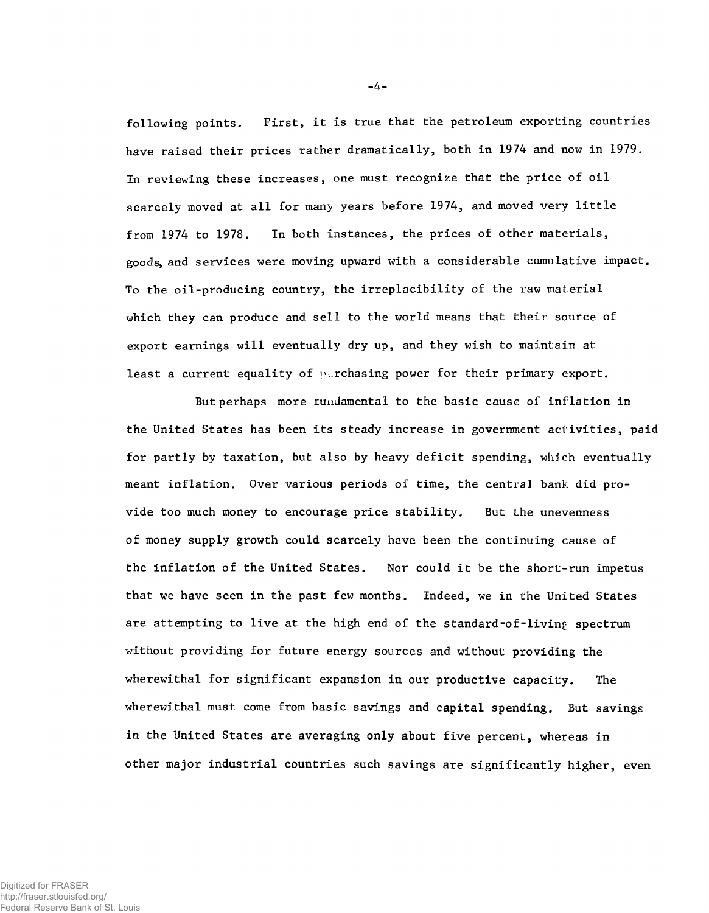following points. First, it is true that the petroleum exporting countries have raised their prices rather dramatically, both in 1974 and now in 1979. In reviewing these increases, one must recognize that the price of oil scarcely moved at all for many years before 1974, and moved very little from 1974 to 1978. In both instances, the prices of other materials, goods, and services were moving upward with a considerable cumulative impact. To the oil-producing country, the irreplacibility of the raw material which they can produce and sell to the world means that their source of export earnings will eventually dry up, and they wish to maintain at least a current equality of parchasing power for their primary export.

But perhaps more rundamental to the basic cause of inflation in the United States has been its steady increase in government activities, paid for partly by taxation, but also by heavy deficit spending, which eventually meant inflation. Over various periods of time, the central bank did provide too much money to encourage price stability. But the unevenness of money supply growth could scarcely have been the continuing cause of the inflation of the United States. Nor could it be the short-run impetus that we have seen in the past few months. Indeed, we in the United States are attempting to live at the high end of the standard-of-living spectrum without providing for future energy sources and without providing the wherewithal for significant expansion in our productive capacity. The wherewithal must come from basic savings and capital spending. But savings in the United States are averaging only about five percent, whereas in other major industrial countries such savings are significantly higher, even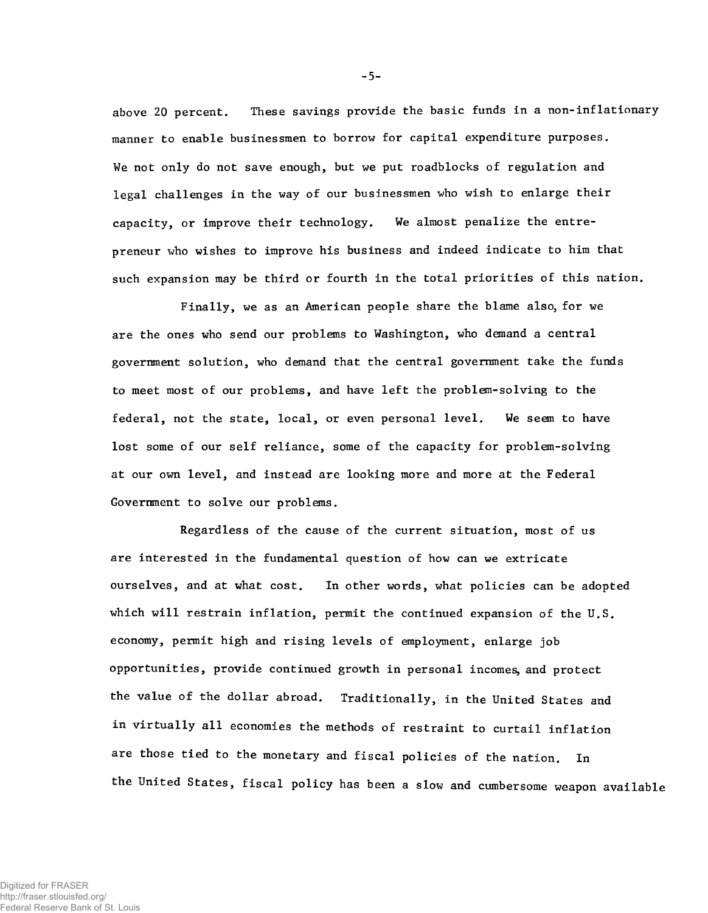above 20 percent. These savings provide the basic funds in a non-inflationary manner to enable businessmen to borrow for capital expenditure purposes. We not only do not save enough, but we put roadblocks of regulation and legal challenges in the way of our businessmen who wish to enlarge their capacity, or improve their technology. We almost penalize the entrepreneur who wishes to improve his business and indeed indicate to him that such expansion may be third or fourth in the total priorities of this nation.

Finally, we as an American people share the blame also, for we are the ones who send our problems to Washington, who demand a central government solution, who demand that the central government take the funds to meet most of our problems, and have left the problem-solving to the federal, not the state, local, or even personal level. We seem to have lost some of our self reliance, some of the capacity for problem-solving at our own level, and instead are looking more and more at the Federal Government to solve our problems.

Regardless of the cause of the current situation, most of us are interested in the fundamental question of how can we extricate ourselves, and at what cost. In other words, what policies can be adopted which will restrain inflation, permit the continued expansion of the U.S. economy, permit high and rising levels of employment, enlarge job opportunities, provide continued growth in personal incomes, and protect the value of the dollar abroad. Traditionally, in the United States and in virtually all economies the methods of restraint to curtail inflation are those tied to the monetary and fiscal policies of the nation. In the United States, fiscal policy has been a slow and cumbersome weapon available

-5-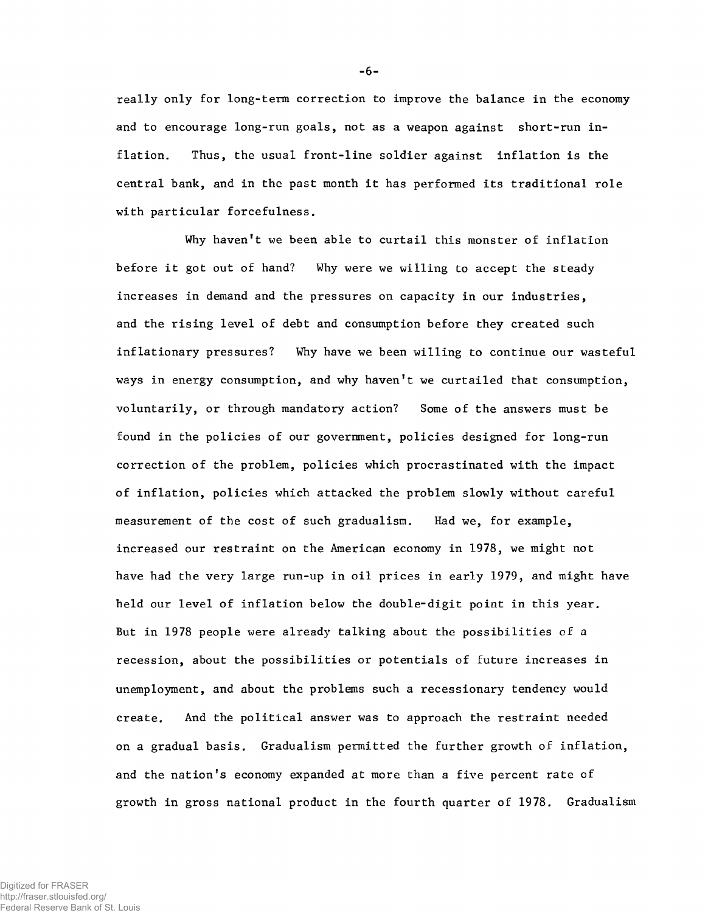really only for long-term correction to improve the balance in the economy and to encourage long-run goals, not as a weapon against short-run inflation. Thus, the usual front-line soldier against inflation is the central bank, and in the past month it has performed its traditional role with particular forcefulness.

Why haven't we been able to curtail this monster of inflation before it got out of hand? Why were we willing to accept the steady increases in demand and the pressures on capacity in our industries, and the rising level of debt and consumption before they created such inflationary pressures? Why have we been willing to continue our wasteful ways in energy consumption, and why haven't we curtailed that consumption, voluntarily, or through mandatory action? Some of the answers must be found in the policies of our government, policies designed for long-run correction of the problem, policies which procrastinated with the impact of inflation, policies which attacked the problem slowly without careful measurement of the cost of such gradualism. Had we, for example, increased our restraint on the American economy in 1978, we might not have had the very large run-up in oil prices in early 1979, and might have held our level of inflation below the double-digit point in this year. But in 1978 people were already talking about the possibilities of a recession, about the possibilities or potentials of future increases in unemployment, and about the problems such a recessionary tendency would create. And the political answer was to approach the restraint needed on a gradual basis. Gradualism permitted the further growth of inflation, and the nation's economy expanded at more than a five percent rate of growth in gross national product in the fourth quarter of 1978. Gradualism

**- 6 -**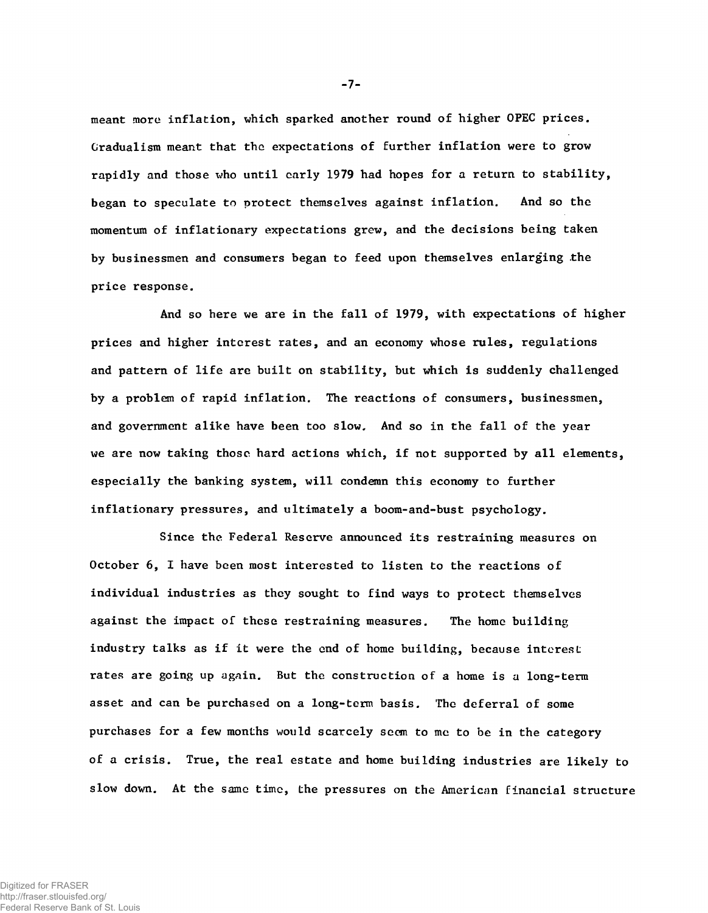meant more inflation, which sparked another round of higher OPEC prices. Gradualism meant that the expectations of further inflation were to grow rapidly and those who until early 1979 had hopes for a return to stability, began to speculate to protect themselves against inflation. And so the momentum of inflationary expectations grew, and the decisions being taken by businessmen and consumers began to feed upon themselves enlarging .the price response.

And so here we are in the fall of 1979, with expectations of higher prices and higher interest rates, and an economy whose rules, regulations and pattern of life are built on stability, but which is suddenly challenged by a problem of rapid inflation. The reactions of consumers, businessmen, and government alike have been too slow. And so in the fall of the year we are now taking those hard actions which, if not supported by all elements, especially the banking system, will condemn this economy to further inflationary pressures, and ultimately a boom-and-bust psychology.

Since the Federal Reserve announced its restraining measures on October 6, I have been most interested to listen to the reactions of individual industries as they sought to find ways to protect themselves against the impact of these restraining measures. The home building industry talks as if it were the end of home building, because interest rates are going up again. But the construction of a home is a long-term asset and can be purchased on a long-term basis. The deferral of some purchases for a few months would scarcely seem to me to be in the category of a crisis. True, the real estate and home building industries are likely to slow down. At the same time, the pressures on the American financial structure

-7-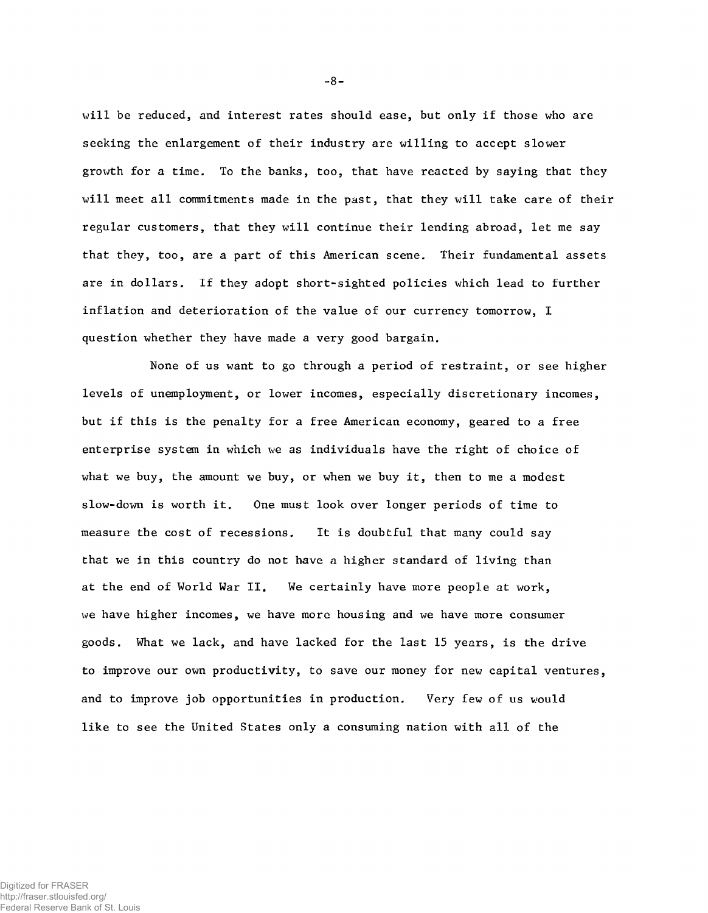will be reduced, and interest rates should ease, but only if those who are seeking the enlargement of their industry are willing to accept slower growth for a time. To the banks, too, that have reacted by saying that they will meet all commitments made in the past, that they will take care of their regular customers, that they will continue their lending abroad, let me say that they, too, are a part of this American scene. Their fundamental assets are in dollars. If they adopt short-sighted policies which lead to further inflation and deterioration of the value of our currency tomorrow, I question whether they have made a very good bargain.

None of us want to go through a period of restraint, or see higher levels of unemployment, or lower incomes, especially discretionary incomes, but if this is the penalty for a free American economy, geared to a free enterprise system in which we as individuals have the right of choice of what we buy, the amount we buy, or when we buy it, then to me a modest slow-down is worth it. One must look over longer periods of time to measure the cost of recessions. It is doubtful that many could say that we in this country do not have a higher standard of living than at the end of World War II. We certainly have more people at work, we have higher incomes, we have more housing and we have more consumer goods. What we lack, and have lacked for the last 15 years, is the drive to improve our own productivity, to save our money for new capital ventures, and to improve job opportunities in production. Very few of us would like to see the United States only a consuming nation with all of the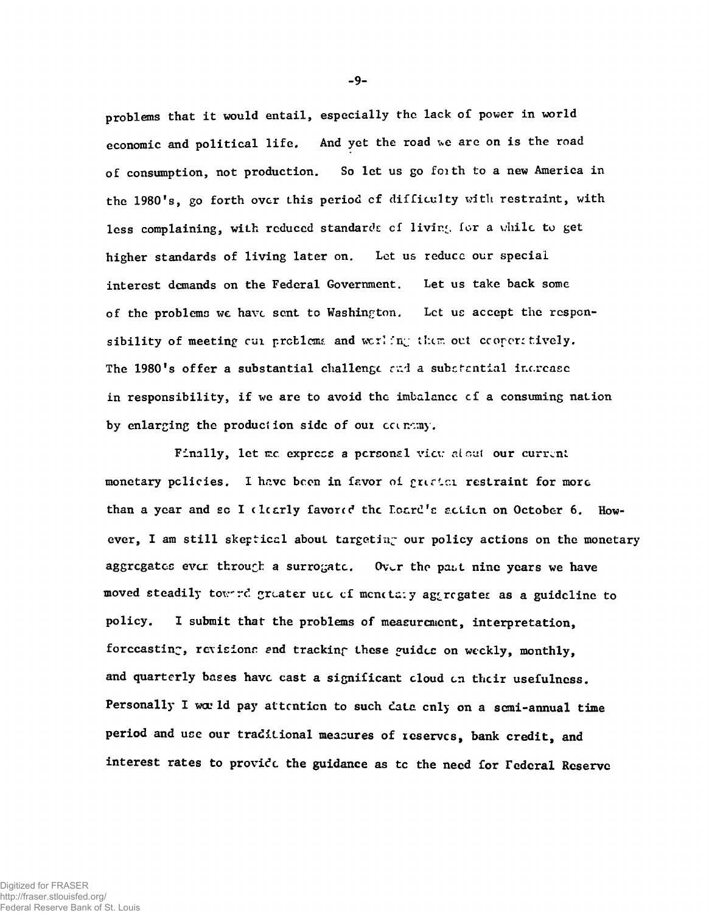problems that it would entail, especially the lack of power in world economic and political life. And yet the road we arc on is the road of consumption, not production. So let us go foi th to a new America in the 1980's, go forth over this period cf difficulty with restraint, with less complaining, with reduced standards of living for a while to get higher standards of living later on. Let us reducc our special interest demands on the Federal Government. Let us take back some of the problems we have sent to Washington. Let us accept the responsibility of meeting cut problems and working them out cooperstively. The 1980's offer a substantial challenge  $\tau$  a substantial increase in responsibility, if we are to avoid the imbalance cf a consuming nation by enlarging the production side of our economy.

Finally, let me express a personal vicy about our current monetary policies. I have been in favor of gradient restraint for more than a year and sc I dicarly favored the Eccre's action on October 6. However, I am still skeptical about targeting our policy actions on the monetary aggregates ever through a surrogate. Over the past nine years we have moved steadily towerd greater use of monotaly aggregates as a guideline to policy. I submit that the problems of measurement, interpretation, forccasting, revisions and tracking these guidee on weekly, monthly, and quarterly bases have cast a significant cloud on their usefulness. Personally I war 1d pay attention to such data only on a semi-annual time period and use our traditional measures of reserves, bank credit, and interest rates to provide the guidance as tc the need for Federal Reserve

-9-